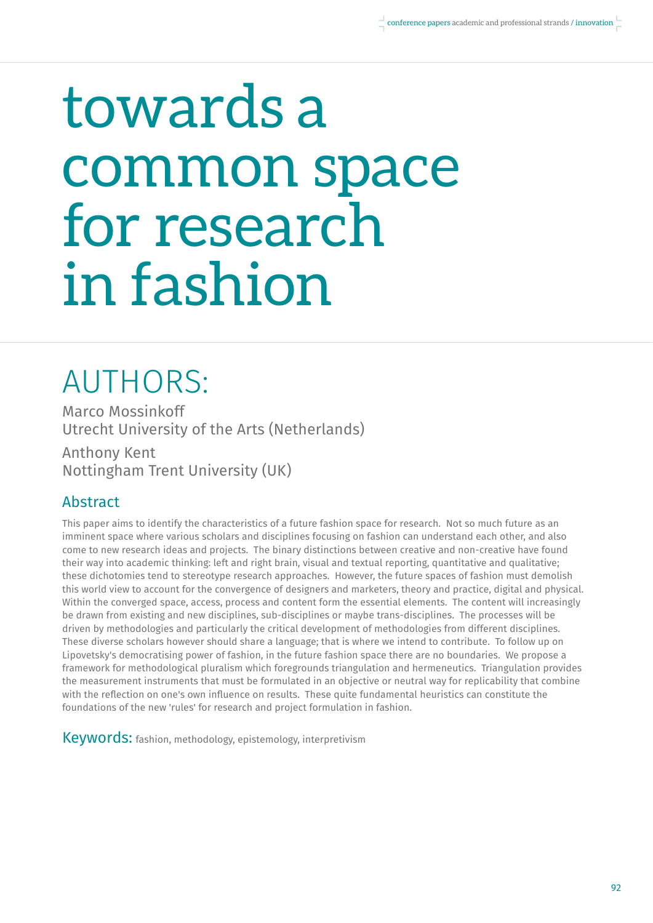# towards a common space for research in fashion

## AUTHORS:

Marco Mossinkoff Utrecht University of the Arts (Netherlands) Anthony Kent Nottingham Trent University (UK)

#### Abstract

This paper aims to identify the characteristics of a future fashion space for research. Not so much future as an imminent space where various scholars and disciplines focusing on fashion can understand each other, and also come to new research ideas and projects. The binary distinctions between creative and non-creative have found their way into academic thinking: left and right brain, visual and textual reporting, quantitative and qualitative; these dichotomies tend to stereotype research approaches. However, the future spaces of fashion must demolish this world view to account for the convergence of designers and marketers, theory and practice, digital and physical. Within the converged space, access, process and content form the essential elements. The content will increasingly be drawn from existing and new disciplines, sub-disciplines or maybe trans-disciplines. The processes will be driven by methodologies and particularly the critical development of methodologies from different disciplines. These diverse scholars however should share a language; that is where we intend to contribute. To follow up on Lipovetsky's democratising power of fashion, in the future fashion space there are no boundaries. We propose a framework for methodological pluralism which foregrounds triangulation and hermeneutics. Triangulation provides the measurement instruments that must be formulated in an objective or neutral way for replicability that combine with the reflection on one's own influence on results. These quite fundamental heuristics can constitute the foundations of the new 'rules' for research and project formulation in fashion.

Keywords: fashion, methodology, epistemology, interpretivism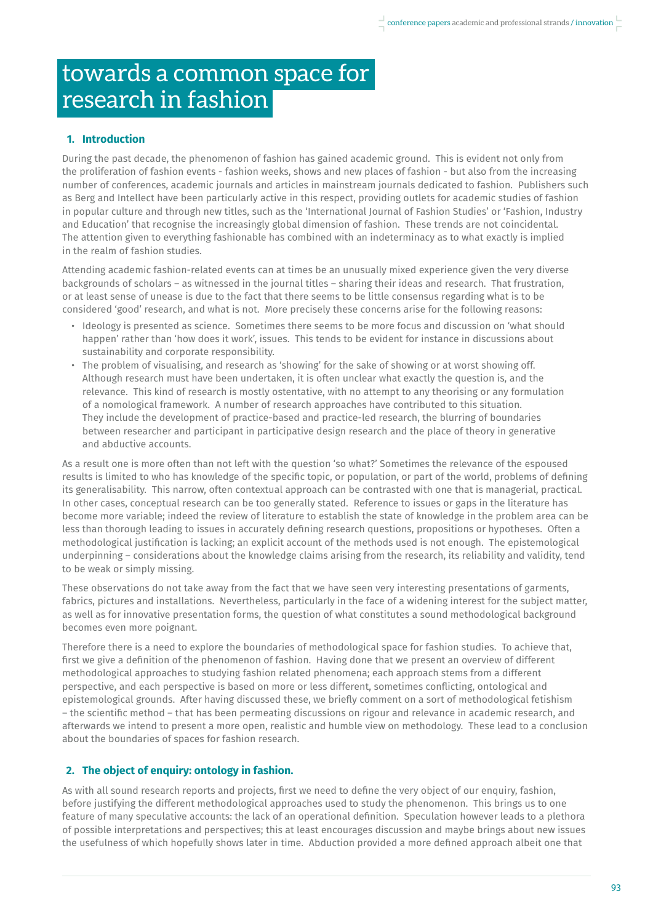### towards a common space for research in fashion

#### **1. Introduction**

During the past decade, the phenomenon of fashion has gained academic ground. This is evident not only from the proliferation of fashion events - fashion weeks, shows and new places of fashion - but also from the increasing number of conferences, academic journals and articles in mainstream journals dedicated to fashion. Publishers such as Berg and Intellect have been particularly active in this respect, providing outlets for academic studies of fashion in popular culture and through new titles, such as the 'International Journal of Fashion Studies' or 'Fashion, Industry and Education' that recognise the increasingly global dimension of fashion. These trends are not coincidental. The attention given to everything fashionable has combined with an indeterminacy as to what exactly is implied in the realm of fashion studies.

Attending academic fashion-related events can at times be an unusually mixed experience given the very diverse backgrounds of scholars – as witnessed in the journal titles – sharing their ideas and research. That frustration, or at least sense of unease is due to the fact that there seems to be little consensus regarding what is to be considered 'good' research, and what is not. More precisely these concerns arise for the following reasons:

- Ideology is presented as science. Sometimes there seems to be more focus and discussion on 'what should happen' rather than 'how does it work', issues. This tends to be evident for instance in discussions about sustainability and corporate responsibility.
- The problem of visualising, and research as 'showing' for the sake of showing or at worst showing off. Although research must have been undertaken, it is often unclear what exactly the question is, and the relevance. This kind of research is mostly ostentative, with no attempt to any theorising or any formulation of a nomological framework. A number of research approaches have contributed to this situation. They include the development of practice-based and practice-led research, the blurring of boundaries between researcher and participant in participative design research and the place of theory in generative and abductive accounts.

As a result one is more often than not left with the question 'so what?' Sometimes the relevance of the espoused results is limited to who has knowledge of the specific topic, or population, or part of the world, problems of defining its generalisability. This narrow, often contextual approach can be contrasted with one that is managerial, practical. In other cases, conceptual research can be too generally stated. Reference to issues or gaps in the literature has become more variable; indeed the review of literature to establish the state of knowledge in the problem area can be less than thorough leading to issues in accurately defining research questions, propositions or hypotheses. Often a methodological justification is lacking; an explicit account of the methods used is not enough. The epistemological underpinning – considerations about the knowledge claims arising from the research, its reliability and validity, tend to be weak or simply missing.

These observations do not take away from the fact that we have seen very interesting presentations of garments, fabrics, pictures and installations. Nevertheless, particularly in the face of a widening interest for the subject matter, as well as for innovative presentation forms, the question of what constitutes a sound methodological background becomes even more poignant.

Therefore there is a need to explore the boundaries of methodological space for fashion studies. To achieve that, first we give a definition of the phenomenon of fashion. Having done that we present an overview of different methodological approaches to studying fashion related phenomena; each approach stems from a different perspective, and each perspective is based on more or less different, sometimes conflicting, ontological and epistemological grounds. After having discussed these, we briefly comment on a sort of methodological fetishism – the scientific method – that has been permeating discussions on rigour and relevance in academic research, and afterwards we intend to present a more open, realistic and humble view on methodology. These lead to a conclusion about the boundaries of spaces for fashion research.

#### **2. The object of enquiry: ontology in fashion.**

As with all sound research reports and projects, first we need to define the very object of our enquiry, fashion, before justifying the different methodological approaches used to study the phenomenon. This brings us to one feature of many speculative accounts: the lack of an operational definition. Speculation however leads to a plethora of possible interpretations and perspectives; this at least encourages discussion and maybe brings about new issues the usefulness of which hopefully shows later in time. Abduction provided a more defined approach albeit one that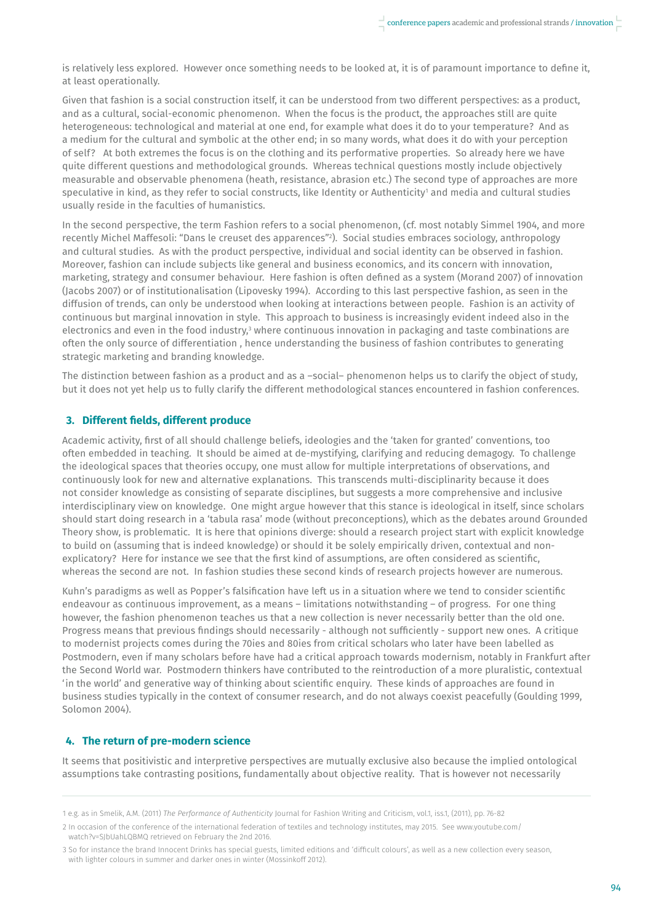is relatively less explored. However once something needs to be looked at, it is of paramount importance to define it, at least operationally.

Given that fashion is a social construction itself, it can be understood from two different perspectives: as a product, and as a cultural, social-economic phenomenon. When the focus is the product, the approaches still are quite heterogeneous: technological and material at one end, for example what does it do to your temperature? And as a medium for the cultural and symbolic at the other end; in so many words, what does it do with your perception of self? At both extremes the focus is on the clothing and its performative properties. So already here we have quite different questions and methodological grounds. Whereas technical questions mostly include objectively measurable and observable phenomena (heath, resistance, abrasion etc.) The second type of approaches are more speculative in kind, as they refer to social constructs, like Identity or Authenticity' and media and cultural studies usually reside in the faculties of humanistics.

In the second perspective, the term Fashion refers to a social phenomenon, (cf. most notably Simmel 1904, and more recently Michel Maffesoli: "Dans le creuset des apparences"2 ). Social studies embraces sociology, anthropology and cultural studies. As with the product perspective, individual and social identity can be observed in fashion. Moreover, fashion can include subjects like general and business economics, and its concern with innovation, marketing, strategy and consumer behaviour. Here fashion is often defined as a system (Morand 2007) of innovation (Jacobs 2007) or of institutionalisation (Lipovesky 1994). According to this last perspective fashion, as seen in the diffusion of trends, can only be understood when looking at interactions between people. Fashion is an activity of continuous but marginal innovation in style. This approach to business is increasingly evident indeed also in the electronics and even in the food industry,<sup>3</sup> where continuous innovation in packaging and taste combinations are often the only source of differentiation , hence understanding the business of fashion contributes to generating strategic marketing and branding knowledge.

The distinction between fashion as a product and as a –social– phenomenon helps us to clarify the object of study, but it does not yet help us to fully clarify the different methodological stances encountered in fashion conferences.

#### **3. Different fields, different produce**

Academic activity, first of all should challenge beliefs, ideologies and the 'taken for granted' conventions, too often embedded in teaching. It should be aimed at de-mystifying, clarifying and reducing demagogy. To challenge the ideological spaces that theories occupy, one must allow for multiple interpretations of observations, and continuously look for new and alternative explanations. This transcends multi-disciplinarity because it does not consider knowledge as consisting of separate disciplines, but suggests a more comprehensive and inclusive interdisciplinary view on knowledge. One might argue however that this stance is ideological in itself, since scholars should start doing research in a 'tabula rasa' mode (without preconceptions), which as the debates around Grounded Theory show, is problematic. It is here that opinions diverge: should a research project start with explicit knowledge to build on (assuming that is indeed knowledge) or should it be solely empirically driven, contextual and nonexplicatory? Here for instance we see that the first kind of assumptions, are often considered as scientific, whereas the second are not. In fashion studies these second kinds of research projects however are numerous.

Kuhn's paradigms as well as Popper's falsification have left us in a situation where we tend to consider scientific endeavour as continuous improvement, as a means – limitations notwithstanding – of progress. For one thing however, the fashion phenomenon teaches us that a new collection is never necessarily better than the old one. Progress means that previous findings should necessarily - although not sufficiently - support new ones. A critique to modernist projects comes during the 70ies and 80ies from critical scholars who later have been labelled as Postmodern, even if many scholars before have had a critical approach towards modernism, notably in Frankfurt after the Second World war. Postmodern thinkers have contributed to the reintroduction of a more pluralistic, contextual 'in the world' and generative way of thinking about scientific enquiry. These kinds of approaches are found in business studies typically in the context of consumer research, and do not always coexist peacefully (Goulding 1999, Solomon 2004).

#### **4. The return of pre-modern science**

It seems that positivistic and interpretive perspectives are mutually exclusive also because the implied ontological assumptions take contrasting positions, fundamentally about objective reality. That is however not necessarily

<sup>1</sup> e.g. as in Smelik, A.M. (2011) *The Performance of Authenticity* Journal for Fashion Writing and Criticism, vol.1, iss.1, (2011), pp. 76-82

<sup>2</sup> In occasion of the conference of the international federation of textiles and technology institutes, may 2015. See www.youtube.com/ watch?v=SJbUahLQBMQ retrieved on February the 2nd 2016.

<sup>3</sup> So for instance the brand Innocent Drinks has special guests, limited editions and 'difficult colours', as well as a new collection every season, with lighter colours in summer and darker ones in winter (Mossinkoff 2012).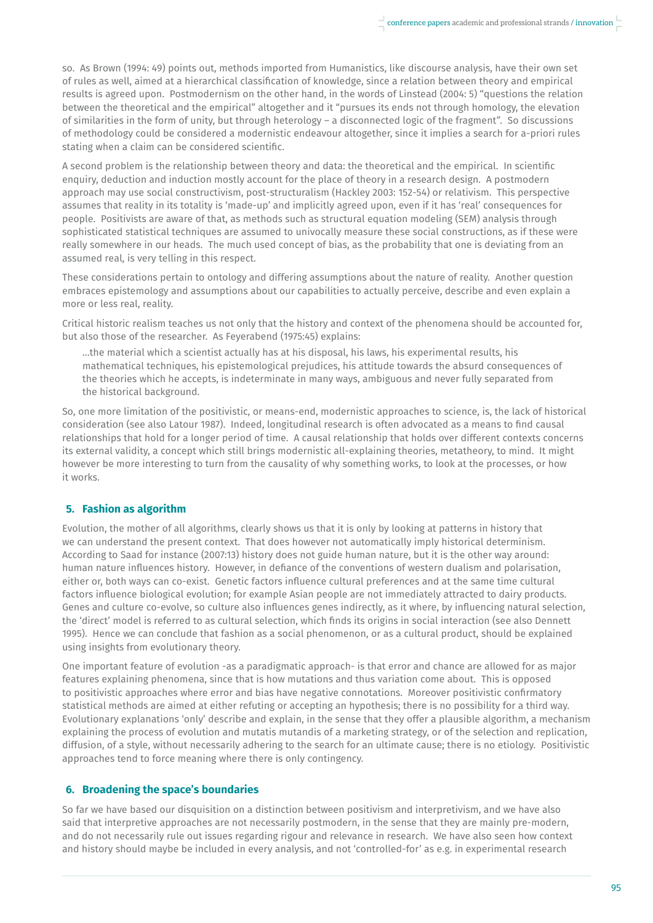so. As Brown (1994: 49) points out, methods imported from Humanistics, like discourse analysis, have their own set of rules as well, aimed at a hierarchical classification of knowledge, since a relation between theory and empirical results is agreed upon. Postmodernism on the other hand, in the words of Linstead (2004: 5) "questions the relation between the theoretical and the empirical" altogether and it "pursues its ends not through homology, the elevation of similarities in the form of unity, but through heterology – a disconnected logic of the fragment". So discussions of methodology could be considered a modernistic endeavour altogether, since it implies a search for a-priori rules stating when a claim can be considered scientific.

A second problem is the relationship between theory and data: the theoretical and the empirical. In scientific enquiry, deduction and induction mostly account for the place of theory in a research design. A postmodern approach may use social constructivism, post-structuralism (Hackley 2003: 152-54) or relativism. This perspective assumes that reality in its totality is 'made-up' and implicitly agreed upon, even if it has 'real' consequences for people. Positivists are aware of that, as methods such as structural equation modeling (SEM) analysis through sophisticated statistical techniques are assumed to univocally measure these social constructions, as if these were really somewhere in our heads. The much used concept of bias, as the probability that one is deviating from an assumed real, is very telling in this respect.

These considerations pertain to ontology and differing assumptions about the nature of reality. Another question embraces epistemology and assumptions about our capabilities to actually perceive, describe and even explain a more or less real, reality.

Critical historic realism teaches us not only that the history and context of the phenomena should be accounted for, but also those of the researcher. As Feyerabend (1975:45) explains:

 …the material which a scientist actually has at his disposal, his laws, his experimental results, his mathematical techniques, his epistemological prejudices, his attitude towards the absurd consequences of the theories which he accepts, is indeterminate in many ways, ambiguous and never fully separated from the historical background.

So, one more limitation of the positivistic, or means-end, modernistic approaches to science, is, the lack of historical consideration (see also Latour 1987). Indeed, longitudinal research is often advocated as a means to find causal relationships that hold for a longer period of time. A causal relationship that holds over different contexts concerns its external validity, a concept which still brings modernistic all-explaining theories, metatheory, to mind. It might however be more interesting to turn from the causality of why something works, to look at the processes, or how it works.

#### **5. Fashion as algorithm**

Evolution, the mother of all algorithms, clearly shows us that it is only by looking at patterns in history that we can understand the present context. That does however not automatically imply historical determinism. According to Saad for instance (2007:13) history does not guide human nature, but it is the other way around: human nature influences history. However, in defiance of the conventions of western dualism and polarisation, either or, both ways can co-exist. Genetic factors influence cultural preferences and at the same time cultural factors influence biological evolution; for example Asian people are not immediately attracted to dairy products. Genes and culture co-evolve, so culture also influences genes indirectly, as it where, by influencing natural selection, the 'direct' model is referred to as cultural selection, which finds its origins in social interaction (see also Dennett 1995). Hence we can conclude that fashion as a social phenomenon, or as a cultural product, should be explained using insights from evolutionary theory.

One important feature of evolution -as a paradigmatic approach- is that error and chance are allowed for as major features explaining phenomena, since that is how mutations and thus variation come about. This is opposed to positivistic approaches where error and bias have negative connotations. Moreover positivistic confirmatory statistical methods are aimed at either refuting or accepting an hypothesis; there is no possibility for a third way. Evolutionary explanations 'only' describe and explain, in the sense that they offer a plausible algorithm, a mechanism explaining the process of evolution and mutatis mutandis of a marketing strategy, or of the selection and replication, diffusion, of a style, without necessarily adhering to the search for an ultimate cause; there is no etiology. Positivistic approaches tend to force meaning where there is only contingency.

#### **6. Broadening the space's boundaries**

So far we have based our disquisition on a distinction between positivism and interpretivism, and we have also said that interpretive approaches are not necessarily postmodern, in the sense that they are mainly pre-modern, and do not necessarily rule out issues regarding rigour and relevance in research. We have also seen how context and history should maybe be included in every analysis, and not 'controlled-for' as e.g. in experimental research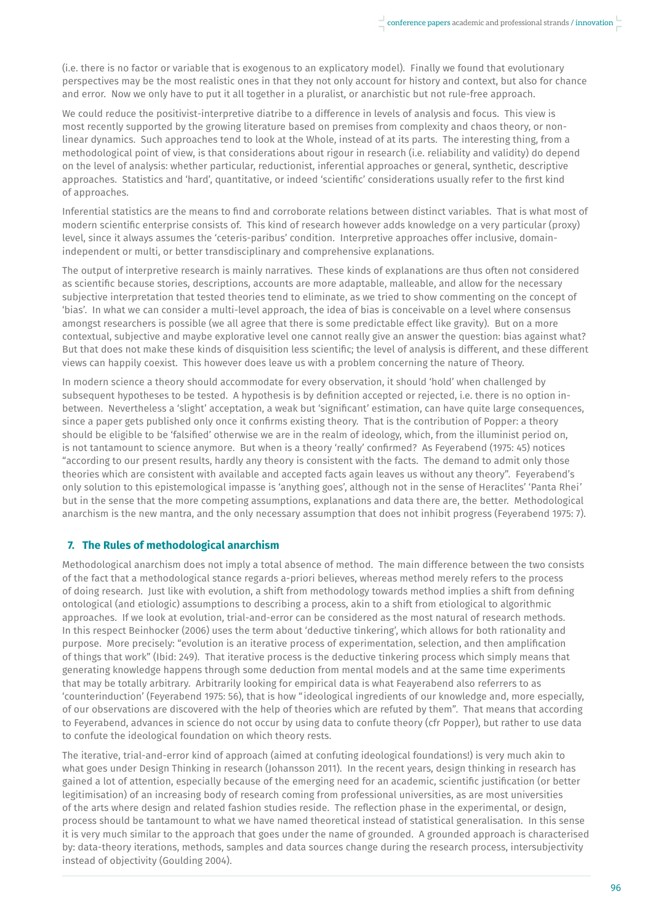(i.e. there is no factor or variable that is exogenous to an explicatory model). Finally we found that evolutionary perspectives may be the most realistic ones in that they not only account for history and context, but also for chance and error. Now we only have to put it all together in a pluralist, or anarchistic but not rule-free approach.

We could reduce the positivist-interpretive diatribe to a difference in levels of analysis and focus. This view is most recently supported by the growing literature based on premises from complexity and chaos theory, or nonlinear dynamics. Such approaches tend to look at the Whole, instead of at its parts. The interesting thing, from a methodological point of view, is that considerations about rigour in research (i.e. reliability and validity) do depend on the level of analysis: whether particular, reductionist, inferential approaches or general, synthetic, descriptive approaches. Statistics and 'hard', quantitative, or indeed 'scientific' considerations usually refer to the first kind of approaches.

Inferential statistics are the means to find and corroborate relations between distinct variables. That is what most of modern scientific enterprise consists of. This kind of research however adds knowledge on a very particular (proxy) level, since it always assumes the 'ceteris-paribus' condition. Interpretive approaches offer inclusive, domainindependent or multi, or better transdisciplinary and comprehensive explanations.

The output of interpretive research is mainly narratives. These kinds of explanations are thus often not considered as scientific because stories, descriptions, accounts are more adaptable, malleable, and allow for the necessary subjective interpretation that tested theories tend to eliminate, as we tried to show commenting on the concept of 'bias'. In what we can consider a multi-level approach, the idea of bias is conceivable on a level where consensus amongst researchers is possible (we all agree that there is some predictable effect like gravity). But on a more contextual, subjective and maybe explorative level one cannot really give an answer the question: bias against what? But that does not make these kinds of disquisition less scientific; the level of analysis is different, and these different views can happily coexist. This however does leave us with a problem concerning the nature of Theory.

In modern science a theory should accommodate for every observation, it should 'hold' when challenged by subsequent hypotheses to be tested. A hypothesis is by definition accepted or rejected, i.e. there is no option inbetween. Nevertheless a 'slight' acceptation, a weak but 'significant' estimation, can have quite large consequences, since a paper gets published only once it confirms existing theory. That is the contribution of Popper: a theory should be eligible to be 'falsified' otherwise we are in the realm of ideology, which, from the illuminist period on, is not tantamount to science anymore. But when is a theory 'really' confirmed? As Feyerabend (1975: 45) notices "according to our present results, hardly any theory is consistent with the facts. The demand to admit only those theories which are consistent with available and accepted facts again leaves us without any theory". Feyerabend's only solution to this epistemological impasse is 'anything goes', although not in the sense of Heraclites' 'Panta Rhei' but in the sense that the more competing assumptions, explanations and data there are, the better. Methodological anarchism is the new mantra, and the only necessary assumption that does not inhibit progress (Feyerabend 1975: 7).

#### **7. The Rules of methodological anarchism**

Methodological anarchism does not imply a total absence of method. The main difference between the two consists of the fact that a methodological stance regards a-priori believes, whereas method merely refers to the process of doing research. Just like with evolution, a shift from methodology towards method implies a shift from defining ontological (and etiologic) assumptions to describing a process, akin to a shift from etiological to algorithmic approaches. If we look at evolution, trial-and-error can be considered as the most natural of research methods. In this respect Beinhocker (2006) uses the term about 'deductive tinkering', which allows for both rationality and purpose. More precisely: "evolution is an iterative process of experimentation, selection, and then amplification of things that work" (Ibid: 249). That iterative process is the deductive tinkering process which simply means that generating knowledge happens through some deduction from mental models and at the same time experiments that may be totally arbitrary. Arbitrarily looking for empirical data is what Feayerabend also referrers to as 'counterinduction' (Feyerabend 1975: 56), that is how "ideological ingredients of our knowledge and, more especially, of our observations are discovered with the help of theories which are refuted by them". That means that according to Feyerabend, advances in science do not occur by using data to confute theory (cfr Popper), but rather to use data to confute the ideological foundation on which theory rests.

The iterative, trial-and-error kind of approach (aimed at confuting ideological foundations!) is very much akin to what goes under Design Thinking in research (Johansson 2011). In the recent years, design thinking in research has gained a lot of attention, especially because of the emerging need for an academic, scientific justification (or better legitimisation) of an increasing body of research coming from professional universities, as are most universities of the arts where design and related fashion studies reside. The reflection phase in the experimental, or design, process should be tantamount to what we have named theoretical instead of statistical generalisation. In this sense it is very much similar to the approach that goes under the name of grounded. A grounded approach is characterised by: data-theory iterations, methods, samples and data sources change during the research process, intersubjectivity instead of objectivity (Goulding 2004).